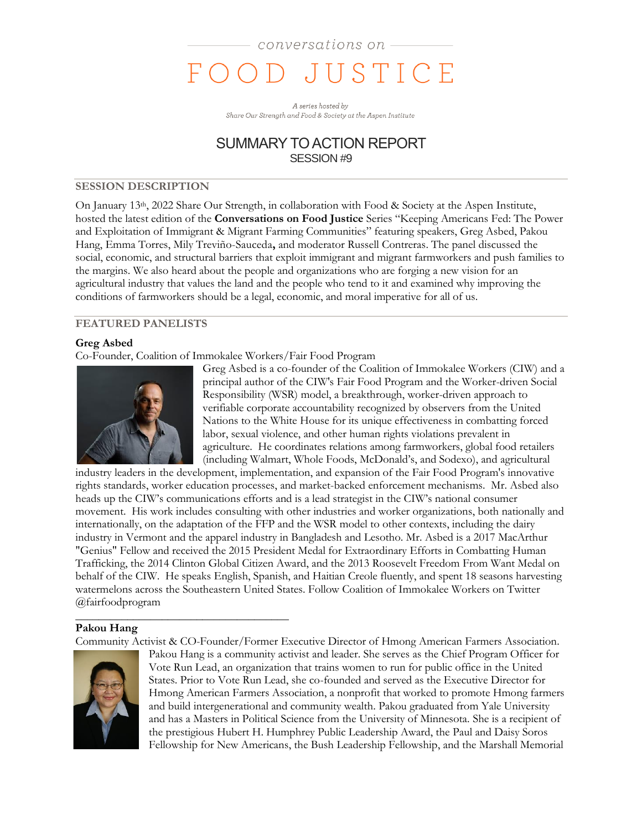A series hosted by Share Our Strength and Food & Society at the Aspen Institute

## SUMMARY TO ACTION REPORT SESSION #9

### **SESSION DESCRIPTION**

On January 13<sup>th</sup>, 2022 Share Our Strength, in collaboration with Food & Society at the Aspen Institute, hosted the latest edition of the **Conversations on Food Justice** Series "Keeping Americans Fed: The Power and Exploitation of Immigrant & Migrant Farming Communities" featuring speakers, Greg Asbed, Pakou Hang, Emma Torres, Mily Treviño-Sauceda**,** and moderator Russell Contreras. The panel discussed the social, economic, and structural barriers that exploit immigrant and migrant farmworkers and push families to the margins. We also heard about the people and organizations who are forging a new vision for an agricultural industry that values the land and the people who tend to it and examined why improving the conditions of farmworkers should be a legal, economic, and moral imperative for all of us.

## **FEATURED PANELISTS**

### **Greg Asbed**

Co-Founder, Coalition of Immokalee Workers/Fair Food Program



Greg Asbed is a co-founder of the Coalition of Immokalee Workers (CIW) and a principal author of the CIW's Fair Food Program and the Worker-driven Social Responsibility (WSR) model, a breakthrough, worker-driven approach to verifiable corporate accountability recognized by observers from the United Nations to the White House for its unique effectiveness in combatting forced labor, sexual violence, and other human rights violations prevalent in agriculture. He coordinates relations among farmworkers, global food retailers (including Walmart, Whole Foods, McDonald's, and Sodexo), and agricultural

industry leaders in the development, implementation, and expansion of the Fair Food Program's innovative rights standards, worker education processes, and market-backed enforcement mechanisms. Mr. Asbed also heads up the CIW's communications efforts and is a lead strategist in the CIW's national consumer movement. His work includes consulting with other industries and worker organizations, both nationally and internationally, on the adaptation of the FFP and the WSR model to other contexts, including the dairy industry in Vermont and the apparel industry in Bangladesh and Lesotho. Mr. Asbed is a 2017 MacArthur "Genius" Fellow and received the 2015 President Medal for Extraordinary Efforts in Combatting Human Trafficking, the 2014 Clinton Global Citizen Award, and the 2013 Roosevelt Freedom From Want Medal on behalf of the CIW. He speaks English, Spanish, and Haitian Creole fluently, and spent 18 seasons harvesting watermelons across the Southeastern United States. Follow Coalition of Immokalee Workers on Twitter @fairfoodprogram \_\_\_\_\_\_\_\_\_\_\_\_\_\_\_\_\_\_\_\_\_\_\_\_\_\_\_\_\_\_\_\_\_\_\_\_\_

### **Pakou Hang**

Community Activist & CO-Founder/Former Executive Director of Hmong American Farmers Association.



Pakou Hang is a community activist and leader. She serves as the Chief Program Officer for Vote Run Lead, an organization that trains women to run for public office in the United States. Prior to Vote Run Lead, she co-founded and served as the Executive Director for Hmong American Farmers Association, a nonprofit that worked to promote Hmong farmers and build intergenerational and community wealth. Pakou graduated from Yale University and has a Masters in Political Science from the University of Minnesota. She is a recipient of the prestigious Hubert H. Humphrey Public Leadership Award, the Paul and Daisy Soros Fellowship for New Americans, the Bush Leadership Fellowship, and the Marshall Memorial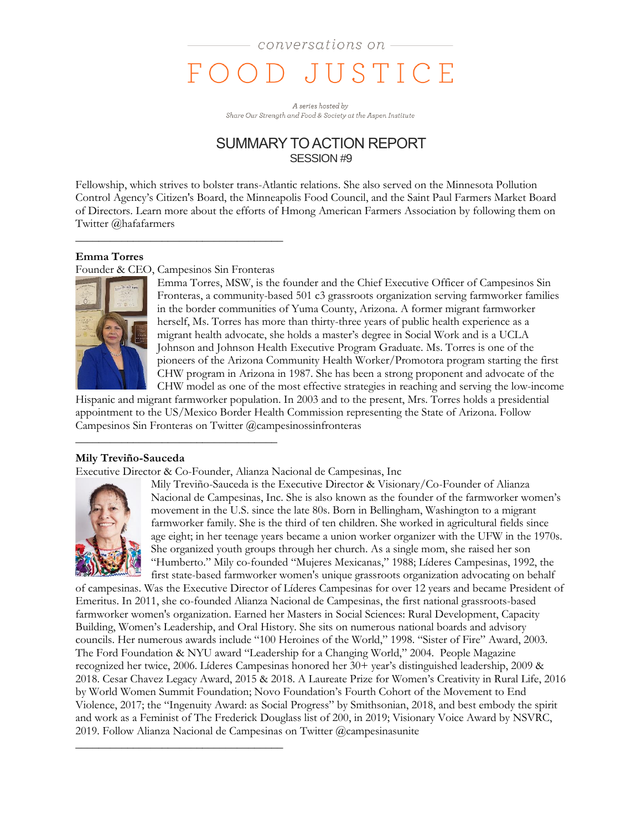A series hosted by Share Our Strength and Food & Society at the Aspen Institute

## SUMMARY TO ACTION REPORT SESSION #9

Fellowship, which strives to bolster trans-Atlantic relations. She also served on the Minnesota Pollution Control Agency's Citizen's Board, the Minneapolis Food Council, and the Saint Paul Farmers Market Board of Directors. Learn more about the efforts of Hmong American Farmers Association by following them on Twitter @hafafarmers

### **Emma Torres**

Founder & CEO, Campesinos Sin Fronteras

 $\frac{1}{2}$  ,  $\frac{1}{2}$  ,  $\frac{1}{2}$  ,  $\frac{1}{2}$  ,  $\frac{1}{2}$  ,  $\frac{1}{2}$  ,  $\frac{1}{2}$  ,  $\frac{1}{2}$  ,  $\frac{1}{2}$  ,  $\frac{1}{2}$  ,  $\frac{1}{2}$  ,  $\frac{1}{2}$  ,  $\frac{1}{2}$  ,  $\frac{1}{2}$  ,  $\frac{1}{2}$  ,  $\frac{1}{2}$  ,  $\frac{1}{2}$  ,  $\frac{1}{2}$  ,  $\frac{1$ 

\_\_\_\_\_\_\_\_\_\_\_\_\_\_\_\_\_\_\_\_\_\_\_\_\_\_\_\_\_\_\_\_\_\_\_\_

\_\_\_\_\_\_\_\_\_\_\_\_\_\_\_\_\_\_\_\_\_\_\_\_\_\_\_\_\_\_\_\_\_\_\_\_



Emma Torres, MSW, is the founder and the Chief Executive Officer of Campesinos Sin Fronteras, a community-based 501 c3 grassroots organization serving farmworker families in the border communities of Yuma County, Arizona. A former migrant farmworker herself, Ms. Torres has more than thirty-three years of public health experience as a migrant health advocate, she holds a master's degree in Social Work and is a UCLA Johnson and Johnson Health Executive Program Graduate. Ms. Torres is one of the pioneers of the Arizona Community Health Worker/Promotora program starting the first CHW program in Arizona in 1987. She has been a strong proponent and advocate of the CHW model as one of the most effective strategies in reaching and serving the low-income

Hispanic and migrant farmworker population. In 2003 and to the present, Mrs. Torres holds a presidential appointment to the US/Mexico Border Health Commission representing the State of Arizona. Follow Campesinos Sin Fronteras on Twitter @campesinossinfronteras

### **Mily Treviño-Sauceda**

Executive Director & Co-Founder, Alianza Nacional de Campesinas, Inc



Mily Treviño-Sauceda is the Executive Director & Visionary/Co-Founder of Alianza Nacional de Campesinas, Inc. She is also known as the founder of the farmworker women's movement in the U.S. since the late 80s. Born in Bellingham, Washington to a migrant farmworker family. She is the third of ten children. She worked in agricultural fields since age eight; in her teenage years became a union worker organizer with the UFW in the 1970s. She organized youth groups through her church. As a single mom, she raised her son "Humberto." Mily co-founded "Mujeres Mexicanas," 1988; Líderes Campesinas, 1992, the first state-based farmworker women's unique grassroots organization advocating on behalf

of campesinas. Was the Executive Director of Líderes Campesinas for over 12 years and became President of Emeritus. In 2011, she co-founded Alianza Nacional de Campesinas, the first national grassroots-based farmworker women's organization. Earned her Masters in Social Sciences: Rural Development, Capacity Building, Women's Leadership, and Oral History. She sits on numerous national boards and advisory councils. Her numerous awards include "100 Heroines of the World," 1998. "Sister of Fire" Award, 2003. The Ford Foundation & NYU award "Leadership for a Changing World," 2004. People Magazine recognized her twice, 2006. Líderes Campesinas honored her 30+ year's distinguished leadership, 2009 & 2018. Cesar Chavez Legacy Award, 2015 & 2018. A Laureate Prize for Women's Creativity in Rural Life, 2016 by World Women Summit Foundation; Novo Foundation's Fourth Cohort of the Movement to End Violence, 2017; the "Ingenuity Award: as Social Progress" by Smithsonian, 2018, and best embody the spirit and work as a Feminist of The Frederick Douglass list of 200, in 2019; Visionary Voice Award by NSVRC, 2019. Follow Alianza Nacional de Campesinas on Twitter @campesinasunite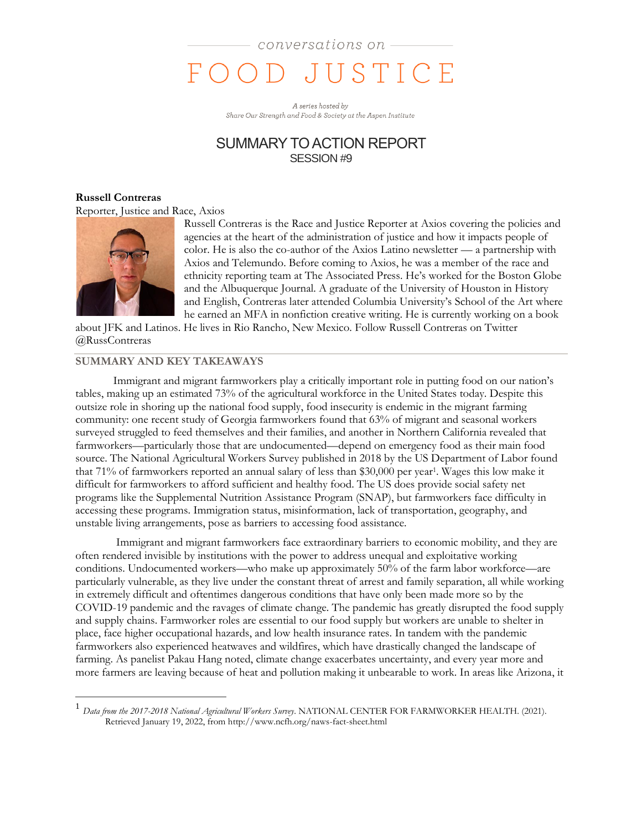A series hosted by Share Our Strength and Food & Society at the Aspen Institute

## SUMMARY TO ACTION REPORT SESSION #9

#### **Russell Contreras** Reporter, Justice and Race, Axios



 $\overline{a}$ 

Russell Contreras is the Race and Justice Reporter at Axios covering the policies and agencies at the heart of the administration of justice and how it impacts people of color. He is also the co-author of the Axios Latino newsletter — a partnership with Axios and Telemundo. Before coming to Axios, he was a member of the race and ethnicity reporting team at The Associated Press. He's worked for the Boston Globe and the Albuquerque Journal. A graduate of the University of Houston in History and English, Contreras later attended Columbia University's School of the Art where he earned an MFA in nonfiction creative writing. He is currently working on a book

about JFK and Latinos. He lives in Rio Rancho, New Mexico. Follow Russell Contreras on Twitter @RussContreras

### **SUMMARY AND KEY TAKEAWAYS**

Immigrant and migrant farmworkers play a critically important role in putting food on our nation's tables, making up an estimated 73% of the agricultural workforce in the United States today. Despite this outsize role in shoring up the national food supply, food insecurity is endemic in the migrant farming community: one recent study of Georgia farmworkers found that 63% of migrant and seasonal workers surveyed struggled to feed themselves and their families, and another in Northern California revealed that farmworkers—particularly those that are undocumented—depend on emergency food as their main food source. The National Agricultural Workers Survey published in 2018 by the US Department of Labor found that 71% of farmworkers reported an annual salary of less than \$30,000 per year<sup>1</sup>. Wages this low make it difficult for farmworkers to afford sufficient and healthy food. The US does provide social safety net programs like the Supplemental Nutrition Assistance Program (SNAP), but farmworkers face difficulty in accessing these programs. Immigration status, misinformation, lack of transportation, geography, and unstable living arrangements, pose as barriers to accessing food assistance.

Immigrant and migrant farmworkers face extraordinary barriers to economic mobility, and they are often rendered invisible by institutions with the power to address unequal and exploitative working conditions. Undocumented workers—who make up approximately 50% of the farm labor workforce—are particularly vulnerable, as they live under the constant threat of arrest and family separation, all while working in extremely difficult and oftentimes dangerous conditions that have only been made more so by the COVID-19 pandemic and the ravages of climate change. The pandemic has greatly disrupted the food supply and supply chains. Farmworker roles are essential to our food supply but workers are unable to shelter in place, face higher occupational hazards, and low health insurance rates. In tandem with the pandemic farmworkers also experienced heatwaves and wildfires, which have drastically changed the landscape of farming. As panelist Pakau Hang noted, climate change exacerbates uncertainty, and every year more and more farmers are leaving because of heat and pollution making it unbearable to work. In areas like Arizona, it

<sup>1</sup> *Data from the 2017-2018 National Agricultural Workers Survey*. NATIONAL CENTER FOR FARMWORKER HEALTH. (2021). Retrieved January 19, 2022, from http://www.ncfh.org/naws-fact-sheet.html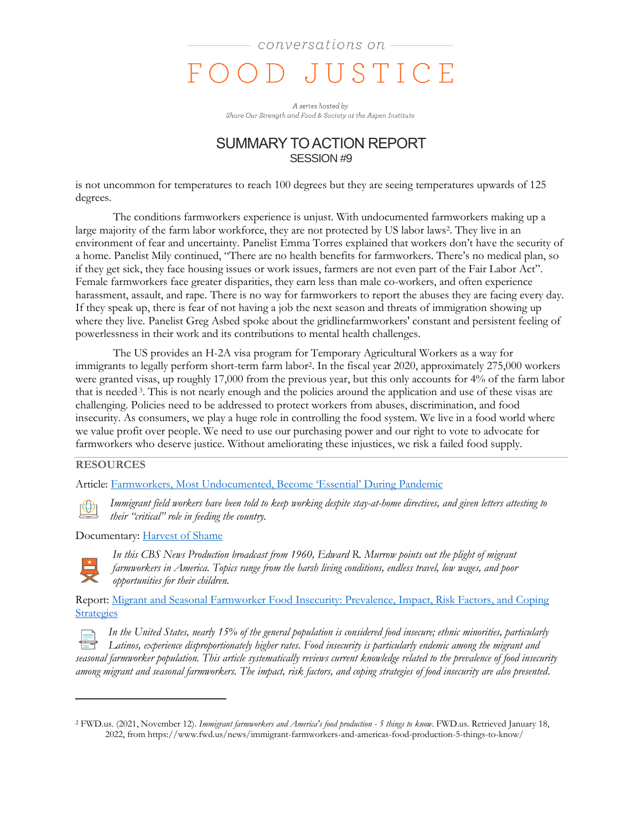A series hosted by Share Our Strength and Food & Society at the Aspen Institute

## SUMMARY TO ACTION REPORT SESSION #9

is not uncommon for temperatures to reach 100 degrees but they are seeing temperatures upwards of 125 degrees.

The conditions farmworkers experience is unjust. With undocumented farmworkers making up a large majority of the farm labor workforce, they are not protected by US labor laws<sup>2</sup> . They live in an environment of fear and uncertainty. Panelist Emma Torres explained that workers don't have the security of a home. Panelist Mily continued, "There are no health benefits for farmworkers. There's no medical plan, so if they get sick, they face housing issues or work issues, farmers are not even part of the Fair Labor Act". Female farmworkers face greater disparities, they earn less than male co-workers, and often experience harassment, assault, and rape. There is no way for farmworkers to report the abuses they are facing every day. If they speak up, there is fear of not having a job the next season and threats of immigration showing up where they live. Panelist Greg Asbed spoke about the gridlinefarmworkers' constant and persistent feeling of powerlessness in their work and its contributions to mental health challenges.

The US provides an H-2A visa program for Temporary Agricultural Workers as a way for immigrants to legally perform short-term farm labor<sup>2</sup> . In the fiscal year 2020, approximately 275,000 workers were granted visas, up roughly 17,000 from the previous year, but this only accounts for 4% of the farm labor that is needed<sup>3</sup>. This is not nearly enough and the policies around the application and use of these visas are challenging. Policies need to be addressed to protect workers from abuses, discrimination, and food insecurity. As consumers, we play a huge role in controlling the food system. We live in a food world where we value profit over people. We need to use our purchasing power and our right to vote to advocate for farmworkers who deserve justice. Without ameliorating these injustices, we risk a failed food supply.

#### **RESOURCES**

Article: [Farmworkers, Most Undocumented, Become 'Essential' During Pandemic](https://www.nytimes.com/2020/04/02/us/coronavirus-undocumented-immigrant-farmworkers-agriculture.html)



*Immigrant field workers have been told to keep working despite stay-at-home directives, and given letters attesting to their "critical" role in feeding the country.*

Documentary: [Harvest of Shame](https://www.imdb.com/title/tt0322505/)



 $\overline{a}$ 

*In this CBS News Production broadcast from 1960, Edward R. Murrow points out the plight of migrant farmworkers in America. Topics range from the harsh living conditions, endless travel, low wages, and poor opportunities for their children.* 

Report: [Migrant and Seasonal Farmworker Food Insecurity: Prevalence, Impact, Risk Factors, and Coping](https://pubmed.ncbi.nlm.nih.gov/25923396/)  **[Strategies](https://pubmed.ncbi.nlm.nih.gov/25923396/)** 

*In the United States, nearly 15% of the general population is considered food insecure; ethnic minorities, particularly Latinos, experience disproportionately higher rates. Food insecurity is particularly endemic among the migrant and seasonal farmworker population. This article systematically reviews current knowledge related to the prevalence of food insecurity among migrant and seasonal farmworkers. The impact, risk factors, and coping strategies of food insecurity are also presented.* 

<sup>2</sup> FWD.us. (2021, November 12). *Immigrant farmworkers and America's food production - 5 things to know*. FWD.us. Retrieved January 18, 2022, from https://www.fwd.us/news/immigrant-farmworkers-and-americas-food-production-5-things-to-know/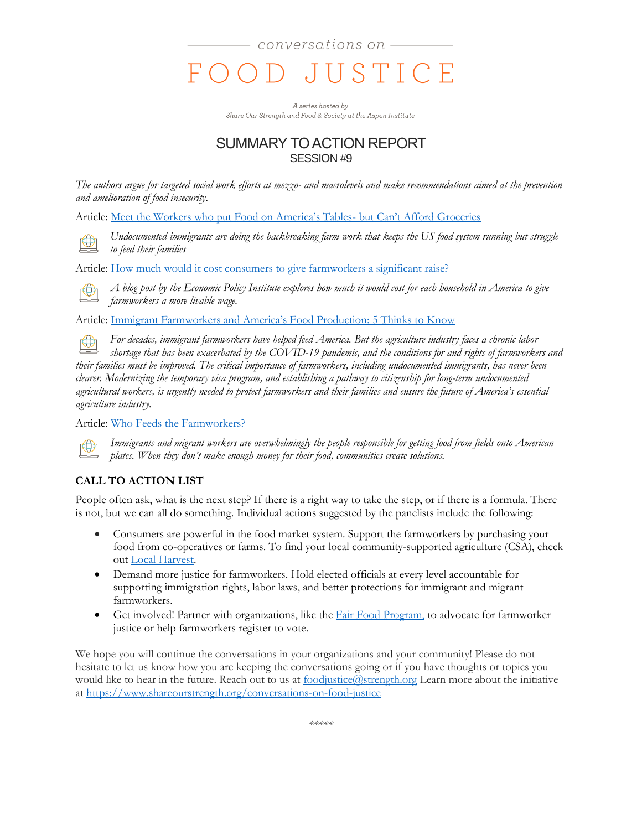A series hosted by Share Our Strength and Food & Society at the Aspen Institute

# SUMMARY TO ACTION REPORT SESSION #9

*The authors argue for targeted social work efforts at mezzo- and macrolevels and make recommendations aimed at the prevention and amelioration of food insecurity.*

Article: [Meet the Workers who put Food on America's Tables](https://www.theguardian.com/environment/2021/may/13/meet-the-workers-who-put-food-on-americas-tables-but-cant-afford-groceries)- but Can't Afford Groceries

*Undocumented immigrants are doing the backbreaking farm work that keeps the US food system running but struggle to feed their families*

Article: [How much would it cost consumers to give farmworkers a significant raise?](https://www.epi.org/blog/how-much-would-it-cost-consumers-to-give-farmworkers-a-significant-raise-a-40-increase-in-pay-would-cost-just-25-per-household/)

*A blog post by the Economic Policy Institute explores how much it would cost for each household in America to give farmworkers a more livable wage.* 

Article: [Immigrant Farmworkers and America's Food Production: 5 Thinks to Know](https://www.fwd.us/news/immigrant-farmworkers-and-americas-food-production-5-things-to-know/)

 $\bigoplus$ *For decades, immigrant farmworkers have helped feed America. But the agriculture industry faces a chronic labor shortage that has been exacerbated by the COVID-19 pandemic, and the conditions for and rights of farmworkers and their families must be improved. The critical importance of farmworkers, including undocumented immigrants, has never been clearer. Modernizing the temporary visa program, and establishing a pathway to citizenship for long-term undocumented agricultural workers, is urgently needed to protect farmworkers and their families and ensure the future of America's essential agriculture industry.*

Article: [Who Feeds the Farmworkers?](https://www.greenamerica.org/building-people-first-economy/who-feeds-farmworkers)



*Immigrants and migrant workers are overwhelmingly the people responsible for getting food from fields onto American plates. When they don't make enough money for their food, communities create solutions.*

## **CALL TO ACTION LIST**

People often ask, what is the next step? If there is a right way to take the step, or if there is a formula. There is not, but we can all do something. Individual actions suggested by the panelists include the following:

- Consumers are powerful in the food market system. Support the farmworkers by purchasing your food from co-operatives or farms. To find your local community-supported agriculture (CSA), check out [Local Harvest.](https://www.localharvest.org/)
- Demand more justice for farmworkers. Hold elected officials at every level accountable for supporting immigration rights, labor laws, and better protections for immigrant and migrant farmworkers.
- Get involved! Partner with organizations, like the  $Fair Food Program$  to advocate for farmworker</u> justice or help farmworkers register to vote.

We hope you will continue the conversations in your organizations and your community! Please do not hesitate to let us know how you are keeping the conversations going or if you have thoughts or topics you would like to hear in the future. Reach out to us at [foodjustice@strength.org](mailto:foodjustice@strength.org) Learn more about the initiative at<https://www.shareourstrength.org/conversations-on-food-justice>